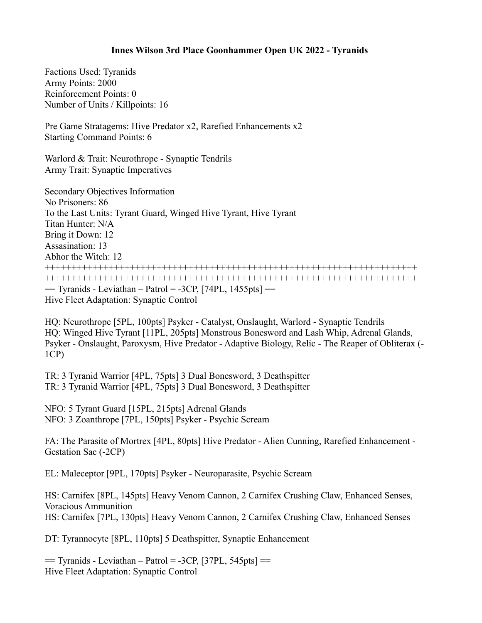## **Innes Wilson 3rd Place Goonhammer Open UK 2022 - Tyranids**

Factions Used: Tyranids Army Points: 2000 Reinforcement Points: 0 Number of Units / Killpoints: 16

Pre Game Stratagems: Hive Predator x2, Rarefied Enhancements x2 Starting Command Points: 6

Warlord & Trait: Neurothrope - Synaptic Tendrils Army Trait: Synaptic Imperatives

Secondary Objectives Information No Prisoners: 86 To the Last Units: Tyrant Guard, Winged Hive Tyrant, Hive Tyrant Titan Hunter: N/A Bring it Down: 12 Assasination: 13 Abhor the Witch: 12 ++++++++++++++++++++++++++++++++++++++++++++++++++++++++++++++++++++++ ++++++++++++++++++++++++++++++++++++++++++++++++++++++++++++++++++++++  $=$  Tyranids - Leviathan – Patrol = -3CP, [74PL, 1455pts]  $=$ Hive Fleet Adaptation: Synaptic Control

HQ: Neurothrope [5PL, 100pts] Psyker - Catalyst, Onslaught, Warlord - Synaptic Tendrils HQ: Winged Hive Tyrant [11PL, 205pts] Monstrous Bonesword and Lash Whip, Adrenal Glands, Psyker - Onslaught, Paroxysm, Hive Predator - Adaptive Biology, Relic - The Reaper of Obliterax (- 1CP)

TR: 3 Tyranid Warrior [4PL, 75pts] 3 Dual Bonesword, 3 Deathspitter TR: 3 Tyranid Warrior [4PL, 75pts] 3 Dual Bonesword, 3 Deathspitter

NFO: 5 Tyrant Guard [15PL, 215pts] Adrenal Glands NFO: 3 Zoanthrope [7PL, 150pts] Psyker - Psychic Scream

FA: The Parasite of Mortrex [4PL, 80pts] Hive Predator - Alien Cunning, Rarefied Enhancement - Gestation Sac (-2CP)

EL: Maleceptor [9PL, 170pts] Psyker - Neuroparasite, Psychic Scream

HS: Carnifex [8PL, 145pts] Heavy Venom Cannon, 2 Carnifex Crushing Claw, Enhanced Senses, Voracious Ammunition HS: Carnifex [7PL, 130pts] Heavy Venom Cannon, 2 Carnifex Crushing Claw, Enhanced Senses

DT: Tyrannocyte [8PL, 110pts] 5 Deathspitter, Synaptic Enhancement

 $=$  Tyranids - Leviathan – Patrol = -3CP, [37PL, 545pts]  $=$ Hive Fleet Adaptation: Synaptic Control